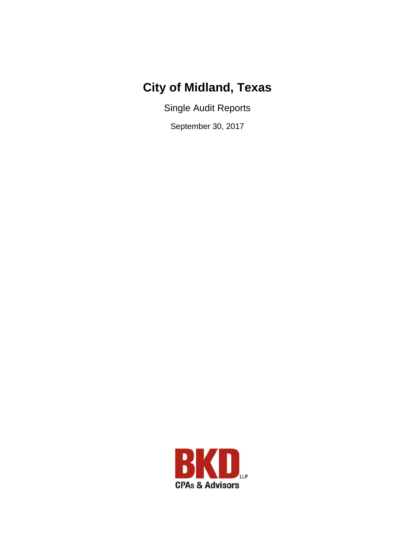# **City of Midland, Texas**

Single Audit Reports

September 30, 2017

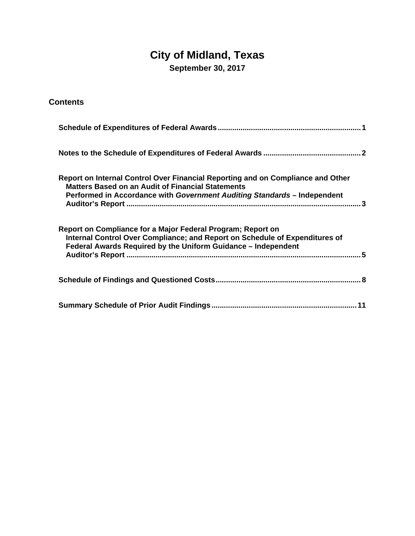# **City of Midland, Texas**

**September 30, 2017** 

| <b>Contents</b>                                                                                                                                                                                                         |
|-------------------------------------------------------------------------------------------------------------------------------------------------------------------------------------------------------------------------|
|                                                                                                                                                                                                                         |
|                                                                                                                                                                                                                         |
| Report on Internal Control Over Financial Reporting and on Compliance and Other<br><b>Matters Based on an Audit of Financial Statements</b><br>Performed in Accordance with Government Auditing Standards - Independent |
| Report on Compliance for a Major Federal Program; Report on<br>Internal Control Over Compliance; and Report on Schedule of Expenditures of<br>Federal Awards Required by the Uniform Guidance – Independent             |
|                                                                                                                                                                                                                         |
|                                                                                                                                                                                                                         |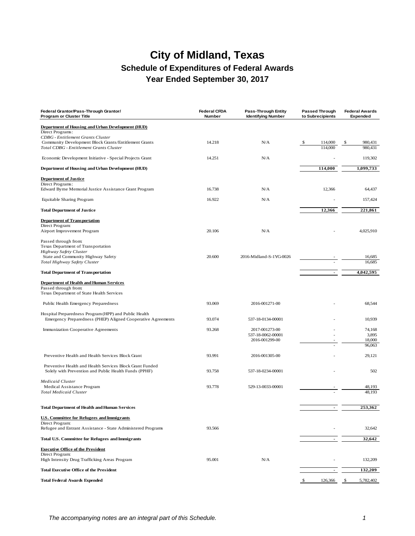# **City of Midland, Texas Schedule of Expenditures of Federal Awards Year Ended September 30, 2017**

| Federal Grantor/Pass-Through Grantor/<br><b>Program or Cluster Title</b>                                                                     | <b>Federal CFDA</b><br>Number | <b>Pass-Through Entity</b><br><b>Identifying Number</b> | <b>Passed Through</b><br>to Subrecipients | <b>Federal Awards</b><br>Expended   |
|----------------------------------------------------------------------------------------------------------------------------------------------|-------------------------------|---------------------------------------------------------|-------------------------------------------|-------------------------------------|
| Department of Housing and Urban Development (HUD)<br>Direct Programs:                                                                        |                               |                                                         |                                           |                                     |
| <b>CDBG</b> - Entitlement Grants Cluster<br>Community Development Block Grants/Entitlement Grants<br>Total CDBG - Entitlement Grants Cluster | 14.218                        | N/A                                                     | -\$<br>114,000<br>114,000                 | 980,431<br>S<br>980.431             |
| Economic Development Initiative - Special Projects Grant                                                                                     | 14.251                        | N/A                                                     |                                           | 119,302                             |
| Department of Housing and Urban Development (HUD)                                                                                            |                               |                                                         | 114,000                                   | 1,099,733                           |
| <b>Department of Justice</b>                                                                                                                 |                               |                                                         |                                           |                                     |
| Direct Programs:<br>Edward Byrne Memorial Justice Assistance Grant Program                                                                   | 16.738                        | N/A                                                     | 12,366                                    | 64,437                              |
| Equitable Sharing Program                                                                                                                    | 16.922                        | N/A                                                     |                                           | 157,424                             |
| <b>Total Department of Justice</b>                                                                                                           |                               |                                                         | 12,366                                    | 221,861                             |
| <b>Department of Transportation</b><br>Direct Program:<br>Airport Improvement Program<br>Passed through from:                                | 20.106                        | N/A                                                     |                                           | 4,025,910                           |
| Texas Department of Transportation<br>Highway Safety Cluster<br>State and Community Highway Safety<br>Total Highway Safety Cluster           | 20.600                        | 2016-Midland-S-1YG-0026                                 |                                           | 16,685<br>16,685                    |
| <b>Total Department of Transportation</b>                                                                                                    |                               |                                                         |                                           | 4,042,595                           |
| <b>Department of Health and Human Services</b><br>Passed through from:<br>Texas Department of State Health Services                          |                               |                                                         |                                           |                                     |
| Public Health Emergency Preparedness                                                                                                         | 93.069                        | 2016-001271-00                                          |                                           | 68,544                              |
| Hospital Preparedness Program (HPP) and Public Health<br>Emergency Preparedness (PHEP) Aligned Cooperative Agreements                        | 93.074                        | 537-18-0134-00001                                       |                                           | 10,939                              |
| Immunization Cooperative Agreements                                                                                                          | 93.268                        | 2017-001273-00<br>537-18-0062-00001<br>2016-001299-00   |                                           | 74,168<br>3,895<br>18,000<br>96,063 |
| Preventive Health and Health Services Block Grant                                                                                            | 93.991                        | 2016-001305-00                                          |                                           | 29,121                              |
| Preventive Health and Health Services Block Grant Funded<br>Solely with Prevention and Public Health Funds (PPHF)                            | 93.758                        | 537-18-0234-00001                                       |                                           | 502                                 |
| <b>Medicaid Cluster</b><br>Medical Assistance Program<br><b>Total Medicaid Cluster</b>                                                       | 93.778                        | 529-13-0033-00001                                       |                                           | 48,193<br>48.193                    |
| Total Department of Health and Human Services                                                                                                |                               |                                                         |                                           | 253,362                             |
| U.S. Committee for Refugees and Immigrants                                                                                                   |                               |                                                         |                                           |                                     |
| Direct Program:<br>Refugee and Entrant Assistance - State Administered Programs                                                              | 93.566                        |                                                         |                                           | 32,642                              |
| <b>Total U.S. Committee for Refugees and Immigrants</b>                                                                                      |                               |                                                         |                                           | 32,642                              |
| <b>Executive Office of the President</b><br>Direct Program:                                                                                  |                               |                                                         |                                           |                                     |
| High Intensity Drug Trafficking Areas Program                                                                                                | 95.001                        | N/A                                                     |                                           | 132,209                             |
| <b>Total Executive Office of the President</b>                                                                                               |                               |                                                         |                                           | 132,209                             |
| <b>Total Federal Awards Expended</b>                                                                                                         |                               |                                                         | 126,366                                   | 5,782,402<br>S                      |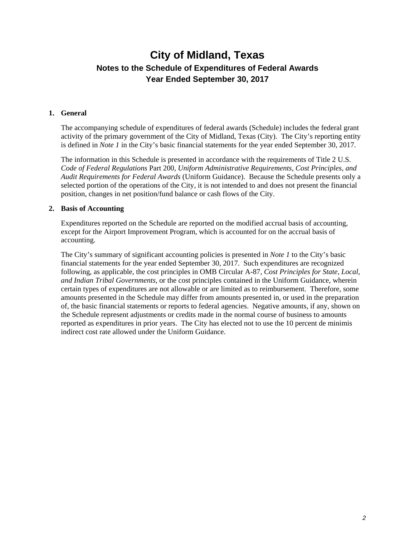## **City of Midland, Texas Notes to the Schedule of Expenditures of Federal Awards Year Ended September 30, 2017**

#### **1. General**

The accompanying schedule of expenditures of federal awards (Schedule) includes the federal grant activity of the primary government of the City of Midland, Texas (City). The City's reporting entity is defined in *Note 1* in the City's basic financial statements for the year ended September 30, 2017.

The information in this Schedule is presented in accordance with the requirements of Title 2 U.S. *Code of Federal Regulations* Part 200, *Uniform Administrative Requirements, Cost Principles, and Audit Requirements for Federal Awards* (Uniform Guidance). Because the Schedule presents only a selected portion of the operations of the City, it is not intended to and does not present the financial position, changes in net position/fund balance or cash flows of the City.

#### **2. Basis of Accounting**

Expenditures reported on the Schedule are reported on the modified accrual basis of accounting, except for the Airport Improvement Program, which is accounted for on the accrual basis of accounting.

The City's summary of significant accounting policies is presented in *Note 1* to the City's basic financial statements for the year ended September 30, 2017. Such expenditures are recognized following, as applicable, the cost principles in OMB Circular A-87, *Cost Principles for State, Local, and Indian Tribal Governments*, or the cost principles contained in the Uniform Guidance, wherein certain types of expenditures are not allowable or are limited as to reimbursement. Therefore, some amounts presented in the Schedule may differ from amounts presented in, or used in the preparation of, the basic financial statements or reports to federal agencies. Negative amounts, if any, shown on the Schedule represent adjustments or credits made in the normal course of business to amounts reported as expenditures in prior years. The City has elected not to use the 10 percent de minimis indirect cost rate allowed under the Uniform Guidance.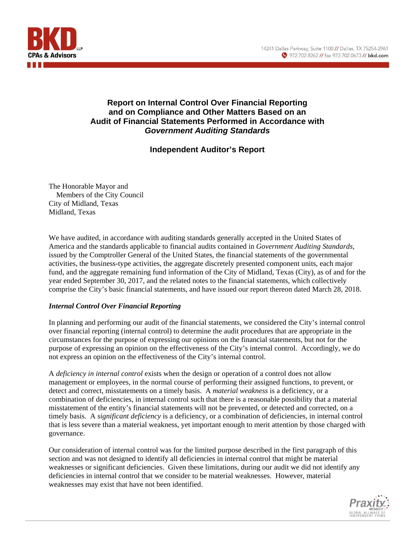

### **Report on Internal Control Over Financial Reporting and on Compliance and Other Matters Based on an Audit of Financial Statements Performed in Accordance with**  *Government Auditing Standards*

### **Independent Auditor's Report**

The Honorable Mayor and Members of the City Council City of Midland, Texas Midland, Texas

We have audited, in accordance with auditing standards generally accepted in the United States of America and the standards applicable to financial audits contained in *Government Auditing Standards*, issued by the Comptroller General of the United States, the financial statements of the governmental activities, the business-type activities, the aggregate discretely presented component units, each major fund, and the aggregate remaining fund information of the City of Midland, Texas (City), as of and for the year ended September 30, 2017, and the related notes to the financial statements, which collectively comprise the City's basic financial statements, and have issued our report thereon dated March 28, 2018.

#### *Internal Control Over Financial Reporting*

In planning and performing our audit of the financial statements, we considered the City's internal control over financial reporting (internal control) to determine the audit procedures that are appropriate in the circumstances for the purpose of expressing our opinions on the financial statements, but not for the purpose of expressing an opinion on the effectiveness of the City's internal control. Accordingly, we do not express an opinion on the effectiveness of the City's internal control.

A *deficiency in internal control* exists when the design or operation of a control does not allow management or employees, in the normal course of performing their assigned functions, to prevent, or detect and correct, misstatements on a timely basis. A *material weakness* is a deficiency, or a combination of deficiencies, in internal control such that there is a reasonable possibility that a material misstatement of the entity's financial statements will not be prevented, or detected and corrected, on a timely basis. A *significant deficiency* is a deficiency, or a combination of deficiencies, in internal control that is less severe than a material weakness, yet important enough to merit attention by those charged with governance.

Our consideration of internal control was for the limited purpose described in the first paragraph of this section and was not designed to identify all deficiencies in internal control that might be material weaknesses or significant deficiencies. Given these limitations, during our audit we did not identify any deficiencies in internal control that we consider to be material weaknesses. However, material weaknesses may exist that have not been identified.

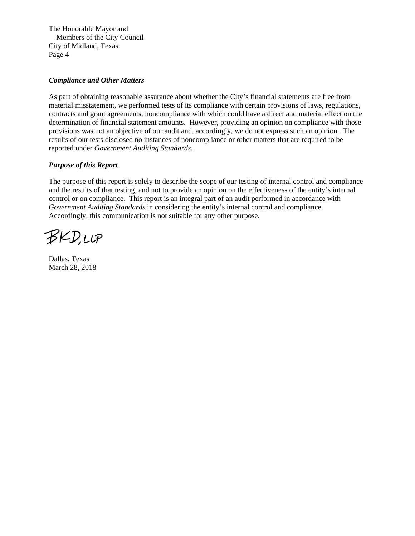The Honorable Mayor and Members of the City Council City of Midland, Texas Page 4

#### *Compliance and Other Matters*

As part of obtaining reasonable assurance about whether the City's financial statements are free from material misstatement, we performed tests of its compliance with certain provisions of laws, regulations, contracts and grant agreements, noncompliance with which could have a direct and material effect on the determination of financial statement amounts. However, providing an opinion on compliance with those provisions was not an objective of our audit and, accordingly, we do not express such an opinion. The results of our tests disclosed no instances of noncompliance or other matters that are required to be reported under *Government Auditing Standards*.

#### *Purpose of this Report*

The purpose of this report is solely to describe the scope of our testing of internal control and compliance and the results of that testing, and not to provide an opinion on the effectiveness of the entity's internal control or on compliance. This report is an integral part of an audit performed in accordance with *Government Auditing Standards* in considering the entity's internal control and compliance. Accordingly, this communication is not suitable for any other purpose.

**BKD,LLP** 

Dallas, Texas March 28, 2018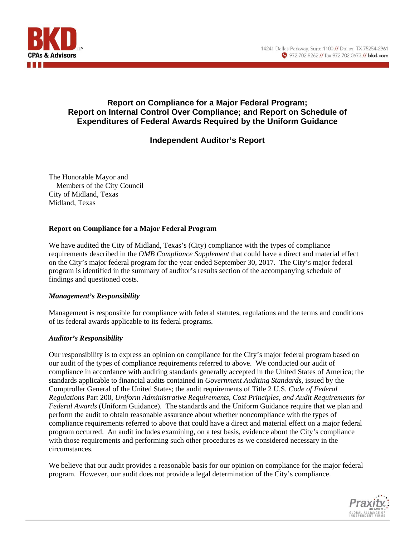

### **Report on Compliance for a Major Federal Program; Report on Internal Control Over Compliance; and Report on Schedule of Expenditures of Federal Awards Required by the Uniform Guidance**

### **Independent Auditor's Report**

The Honorable Mayor and Members of the City Council City of Midland, Texas Midland, Texas

#### **Report on Compliance for a Major Federal Program**

We have audited the City of Midland, Texas's (City) compliance with the types of compliance requirements described in the *OMB Compliance Supplement* that could have a direct and material effect on the City's major federal program for the year ended September 30, 2017. The City's major federal program is identified in the summary of auditor's results section of the accompanying schedule of findings and questioned costs.

#### *Management's Responsibility*

Management is responsible for compliance with federal statutes, regulations and the terms and conditions of its federal awards applicable to its federal programs.

#### *Auditor's Responsibility*

Our responsibility is to express an opinion on compliance for the City's major federal program based on our audit of the types of compliance requirements referred to above. We conducted our audit of compliance in accordance with auditing standards generally accepted in the United States of America; the standards applicable to financial audits contained in *Government Auditing Standards*, issued by the Comptroller General of the United States; the audit requirements of Title 2 U.S. *Code of Federal Regulations* Part 200, *Uniform Administrative Requirements, Cost Principles, and Audit Requirements for Federal Awards* (Uniform Guidance). The standards and the Uniform Guidance require that we plan and perform the audit to obtain reasonable assurance about whether noncompliance with the types of compliance requirements referred to above that could have a direct and material effect on a major federal program occurred. An audit includes examining, on a test basis, evidence about the City's compliance with those requirements and performing such other procedures as we considered necessary in the circumstances.

We believe that our audit provides a reasonable basis for our opinion on compliance for the major federal program. However, our audit does not provide a legal determination of the City's compliance.

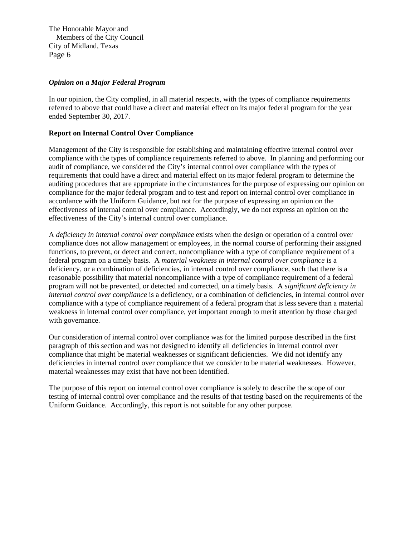The Honorable Mayor and Members of the City Council City of Midland, Texas Page 6

#### *Opinion on a Major Federal Program*

In our opinion, the City complied, in all material respects, with the types of compliance requirements referred to above that could have a direct and material effect on its major federal program for the year ended September 30, 2017.

#### **Report on Internal Control Over Compliance**

Management of the City is responsible for establishing and maintaining effective internal control over compliance with the types of compliance requirements referred to above. In planning and performing our audit of compliance, we considered the City's internal control over compliance with the types of requirements that could have a direct and material effect on its major federal program to determine the auditing procedures that are appropriate in the circumstances for the purpose of expressing our opinion on compliance for the major federal program and to test and report on internal control over compliance in accordance with the Uniform Guidance, but not for the purpose of expressing an opinion on the effectiveness of internal control over compliance. Accordingly, we do not express an opinion on the effectiveness of the City's internal control over compliance.

A *deficiency in internal control over compliance* exists when the design or operation of a control over compliance does not allow management or employees, in the normal course of performing their assigned functions, to prevent, or detect and correct, noncompliance with a type of compliance requirement of a federal program on a timely basis. A *material weakness in internal control over compliance* is a deficiency, or a combination of deficiencies, in internal control over compliance, such that there is a reasonable possibility that material noncompliance with a type of compliance requirement of a federal program will not be prevented, or detected and corrected, on a timely basis. A *significant deficiency in internal control over compliance* is a deficiency, or a combination of deficiencies, in internal control over compliance with a type of compliance requirement of a federal program that is less severe than a material weakness in internal control over compliance, yet important enough to merit attention by those charged with governance.

Our consideration of internal control over compliance was for the limited purpose described in the first paragraph of this section and was not designed to identify all deficiencies in internal control over compliance that might be material weaknesses or significant deficiencies. We did not identify any deficiencies in internal control over compliance that we consider to be material weaknesses. However, material weaknesses may exist that have not been identified.

The purpose of this report on internal control over compliance is solely to describe the scope of our testing of internal control over compliance and the results of that testing based on the requirements of the Uniform Guidance. Accordingly, this report is not suitable for any other purpose.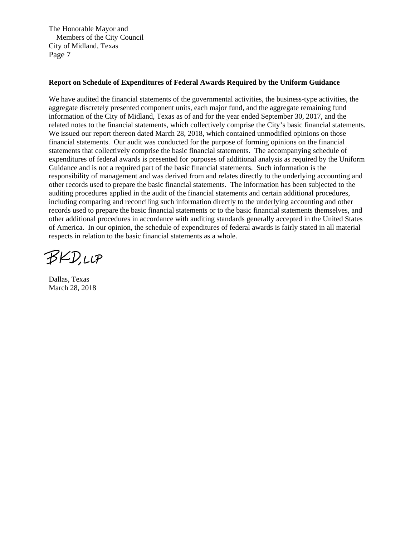The Honorable Mayor and Members of the City Council City of Midland, Texas Page 7

#### **Report on Schedule of Expenditures of Federal Awards Required by the Uniform Guidance**

We have audited the financial statements of the governmental activities, the business-type activities, the aggregate discretely presented component units, each major fund, and the aggregate remaining fund information of the City of Midland, Texas as of and for the year ended September 30, 2017, and the related notes to the financial statements, which collectively comprise the City's basic financial statements. We issued our report thereon dated March 28, 2018, which contained unmodified opinions on those financial statements. Our audit was conducted for the purpose of forming opinions on the financial statements that collectively comprise the basic financial statements. The accompanying schedule of expenditures of federal awards is presented for purposes of additional analysis as required by the Uniform Guidance and is not a required part of the basic financial statements. Such information is the responsibility of management and was derived from and relates directly to the underlying accounting and other records used to prepare the basic financial statements. The information has been subjected to the auditing procedures applied in the audit of the financial statements and certain additional procedures, including comparing and reconciling such information directly to the underlying accounting and other records used to prepare the basic financial statements or to the basic financial statements themselves, and other additional procedures in accordance with auditing standards generally accepted in the United States of America. In our opinion, the schedule of expenditures of federal awards is fairly stated in all material respects in relation to the basic financial statements as a whole.

BKD,LLP

Dallas, Texas March 28, 2018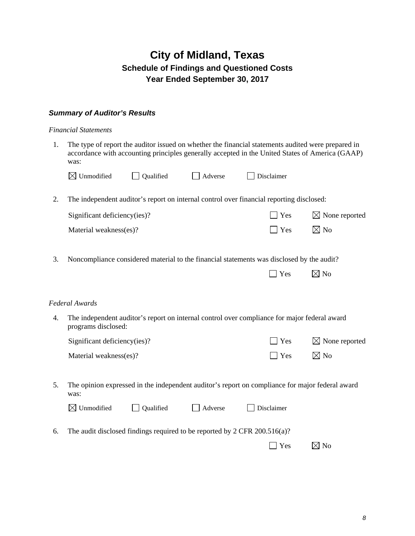# **City of Midland, Texas Schedule of Findings and Questioned Costs Year Ended September 30, 2017**

### *Summary of Auditor's Results*

#### *Financial Statements*

1. The type of report the auditor issued on whether the financial statements audited were prepared in accordance with accounting principles generally accepted in the United States of America (GAAP) was:

|    | Unmodified<br>IXI            | Qualified | Adverse | Disclaimer                                                                                       |                           |
|----|------------------------------|-----------|---------|--------------------------------------------------------------------------------------------------|---------------------------|
| 2. |                              |           |         | The independent auditor's report on internal control over financial reporting disclosed:         |                           |
|    | Significant deficiency(ies)? |           |         | Yes                                                                                              | $\boxtimes$ None reported |
|    | Material weakness(es)?       |           |         | Yes<br>$\blacksquare$                                                                            | $\boxtimes$ No            |
| 3. |                              |           |         | Noncompliance considered material to the financial statements was disclosed by the audit?<br>Yes | $\boxtimes$ No            |
|    | <b>Federal Awards</b>        |           |         |                                                                                                  |                           |
| 4. | programs disclosed:          |           |         | The independent auditor's report on internal control over compliance for major federal award     |                           |
|    | Significant deficiency(ies)? |           |         | Yes                                                                                              | $\boxtimes$ None reported |
|    | Material weakness(es)?       |           |         | Yes                                                                                              | $\boxtimes$ No            |

5. The opinion expressed in the independent auditor's report on compliance for major federal award was:

| $\boxtimes$ Unmodified | $\Box$ Qualified | $\Box$ Adverse | $\Box$ Disclaimer |
|------------------------|------------------|----------------|-------------------|
|                        |                  |                |                   |

6. The audit disclosed findings required to be reported by 2 CFR 200.516(a)?

| Y PS | ∣XI No |
|------|--------|
|------|--------|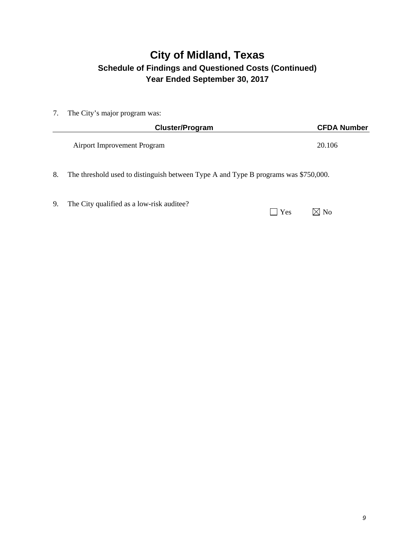# **City of Midland, Texas Schedule of Findings and Questioned Costs (Continued) Year Ended September 30, 2017**

7. The City's major program was:

|    | <b>Cluster/Program</b>                                                              | <b>CFDA Number</b> |
|----|-------------------------------------------------------------------------------------|--------------------|
|    | <b>Airport Improvement Program</b>                                                  | 20.106             |
| 8. | The threshold used to distinguish between Type A and Type B programs was \$750,000. |                    |

9. The City qualified as a low-risk auditee?

| $\boxtimes$ No<br>Yes |
|-----------------------|
|-----------------------|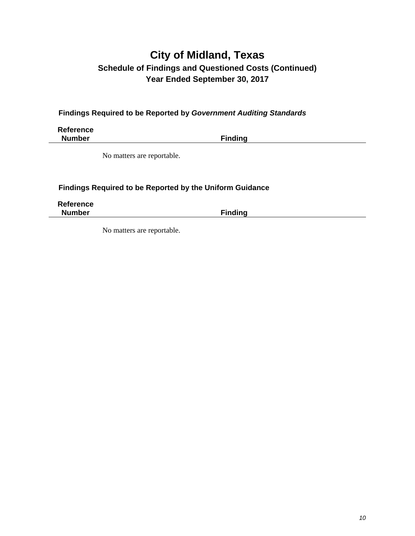# **City of Midland, Texas Schedule of Findings and Questioned Costs (Continued) Year Ended September 30, 2017**

**Findings Required to be Reported by** *Government Auditing Standards* 

**Reference Number Finding Community Property** 

No matters are reportable.

### **Findings Required to be Reported by the Uniform Guidance**

**Reference** 

**Finding** 

No matters are reportable.